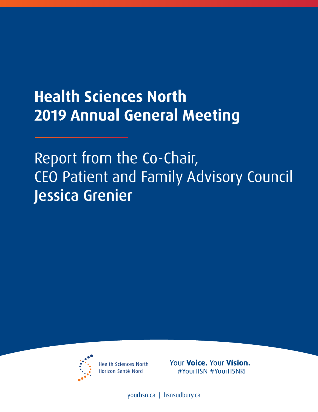## **Health Sciences North 2019 Annual General Meeting**

## Report from the Co-Chair, CEO Patient and Family Advisory Council Jessica Grenier



**Health Sciences North** Horizon Santé-Nord

Your Voice. Your Vision. #YourHSN #YourHSNRI

[yourhsn.ca](www.yourhsn.ca) | [hsnsudbury.ca](www.hsnsudbury.ca)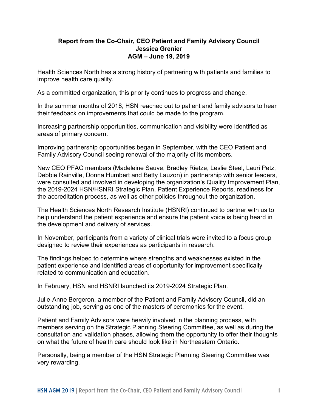## **AGM – June 19, 2019 Report from the Co-Chair, CEO Patient and Family Advisory Council Jessica Grenier**

 Health Sciences North has a strong history of partnering with patients and families to improve health care quality.

As a committed organization, this priority continues to progress and change.

In the summer months of 2018, HSN reached out to patient and family advisors to hear their feedback on improvements that could be made to the program.

 Increasing partnership opportunities, communication and visibility were identified as areas of primary concern.

 Family Advisory Council seeing renewal of the majority of its members. Improving partnership opportunities began in September, with the CEO Patient and

New CEO PFAC members (Madeleine Sauve, Bradley Rietze, Leslie Steel, Lauri Petz, Debbie Rainville, Donna Humbert and Betty Lauzon) in partnership with senior leaders, were consulted and involved in developing the organization's Quality Improvement Plan, the 2019-2024 HSN/HSNRI Strategic Plan, Patient Experience Reports, readiness for the accreditation process, as well as other policies throughout the organization.

the development and delivery of services. The Health Sciences North Research Institute (HSNRI) continued to partner with us to help understand the patient experience and ensure the patient voice is being heard in

designed to review their experiences as participants in research. In November, participants from a variety of clinical trials were invited to a focus group

designed to review their experiences as participants in research.<br>The findings helped to determine where strengths and weaknesses existed in the related to communication and education. patient experience and identified areas of opportunity for improvement specifically

In February, HSN and HSNRI launched its 2019-2024 Strategic Plan.

 Julie-Anne Bergeron, a member of the Patient and Family Advisory Council, did an outstanding job, serving as one of the masters of ceremonies for the event.

 Patient and Family Advisors were heavily involved in the planning process, with members serving on the Strategic Planning Steering Committee, as well as during the consultation and validation phases, allowing them the opportunity to offer their thoughts on what the future of health care should look like in Northeastern Ontario.

 Personally, being a member of the HSN Strategic Planning Steering Committee was very rewarding.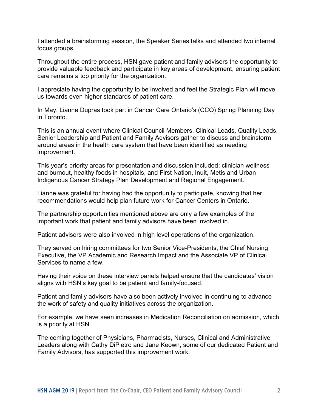I attended a brainstorming session, the Speaker Series talks and attended two internal focus groups.

 provide valuable feedback and participate in key areas of development, ensuring patient Throughout the entire process, HSN gave patient and family advisors the opportunity to care remains a top priority for the organization.

 I appreciate having the opportunity to be involved and feel the Strategic Plan will move us towards even higher standards of patient care.

 In May, Lianne Dupras took part in Cancer Care Ontario's (CCO) Spring Planning Day in Toronto.

 Senior Leadership and Patient and Family Advisors gather to discuss and brainstorm improvement. This is an annual event where Clinical Council Members, Clinical Leads, Quality Leads, around areas in the health care system that have been identified as needing

 and burnout, healthy foods in hospitals, and First Nation, Inuit, Metis and Urban Indigenous Cancer Strategy Plan Development and Regional Engagement. This year's priority areas for presentation and discussion included: clinician wellness

Lianne was grateful for having had the opportunity to participate, knowing that her recommendations would help plan future work for Cancer Centers in Ontario.

The partnership opportunities mentioned above are only a few examples of the important work that patient and family advisors have been involved in.

Patient advisors were also involved in high level operations of the organization.

 Services to name a few. They served on hiring committees for two Senior Vice-Presidents, the Chief Nursing Executive, the VP Academic and Research Impact and the Associate VP of Clinical

 Having their voice on these interview panels helped ensure that the candidates' vision aligns with HSN's key goal to be patient and family-focused.

aligns with HSN's key goal to be patient and family-focused.<br>Patient and family advisors have also been actively involved in continuing to advance the work of safety and quality initiatives across the organization.

For example, we have seen increases in Medication Reconciliation on admission, which is a priority at HSN.

The coming together of Physicians, Pharmacists, Nurses, Clinical and Administrative Leaders along with Cathy DiPietro and Jane Keown, some of our dedicated Patient and Family Advisors, has supported this improvement work.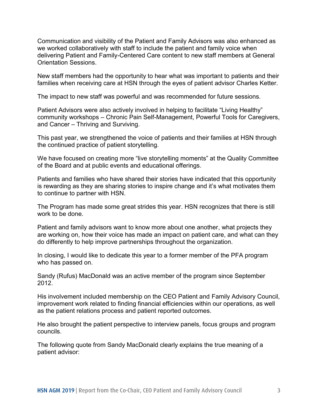we worked collaboratively with staff to include the patient and family voice when **Orientation Sessions.** Communication and visibility of the Patient and Family Advisors was also enhanced as delivering Patient and Family-Centered Care content to new staff members at General

 families when receiving care at HSN through the eyes of patient advisor Charles Ketter. New staff members had the opportunity to hear what was important to patients and their

The impact to new staff was powerful and was recommended for future sessions.

 and Cancer – Thriving and Surviving. Patient Advisors were also actively involved in helping to facilitate "Living Healthy" community workshops – Chronic Pain Self-Management, Powerful Tools for Caregivers,

 This past year, we strengthened the voice of patients and their families at HSN through the continued practice of patient storytelling.

 We have focused on creating more "live storytelling moments" at the Quality Committee of the Board and at public events and educational offerings.

Patients and families who have shared their stories have indicated that this opportunity is rewarding as they are sharing stories to inspire change and it's what motivates them to continue to partner with HSN.

 work to be done. The Program has made some great strides this year. HSN recognizes that there is still

 are working on, how their voice has made an impact on patient care, and what can they Patient and family advisors want to know more about one another, what projects they do differently to help improve partnerships throughout the organization.

 In closing, I would like to dedicate this year to a former member of the PFA program who has passed on.

Sandy (Rufus) MacDonald was an active member of the program since September 2012.

 improvement work related to finding financial efficiencies within our operations, as well as the patient relations process and patient reported outcomes. His involvement included membership on the CEO Patient and Family Advisory Council,

He also brought the patient perspective to interview panels, focus groups and program councils.

 The following quote from Sandy MacDonald clearly explains the true meaning of a patient advisor: